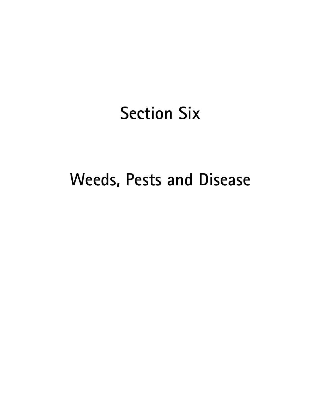# Section Six

# Weeds, Pests and Disease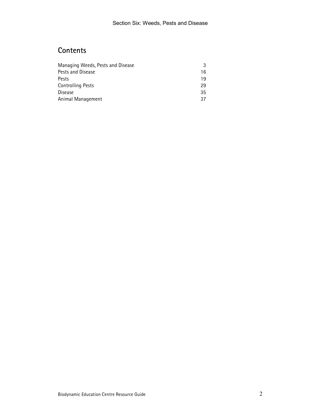# **Contents**

| Managing Weeds, Pests and Disease |    |
|-----------------------------------|----|
| Pests and Disease                 | 16 |
| Pests                             | 19 |
| <b>Controlling Pests</b>          | 29 |
| Disease                           | 35 |
| Animal Management                 | 37 |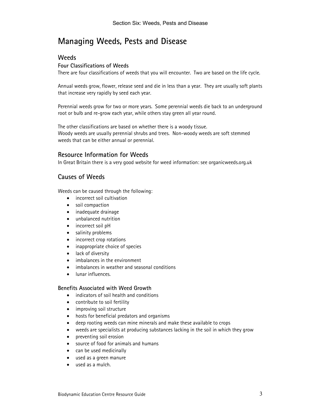# Managing Weeds, Pests and Disease

# **Weeds**

## Four Classifications of Weeds

There are four classifications of weeds that you will encounter. Two are based on the life cycle.

Annual weeds grow, flower, release seed and die in less than a year. They are usually soft plants that increase very rapidly by seed each year.

Perennial weeds grow for two or more years. Some perennial weeds die back to an underground root or bulb and re-grow each year, while others stay green all year round.

The other classifications are based on whether there is a woody tissue. Woody weeds are usually perennial shrubs and trees. Non-woody weeds are soft stemmed weeds that can be either annual or perennial.

# Resource Information for Weeds

In Great Britain there is a very good website for weed information: see organicweeds.org.uk

# Causes of Weeds

Weeds can be caused through the following:

- incorrect soil cultivation
- soil compaction
- inadequate drainage
- unbalanced nutrition
- incorrect soil pH
- salinity problems
- incorrect crop rotations
- inappropriate choice of species
- lack of diversity
- imbalances in the environment
- imbalances in weather and seasonal conditions
- lunar influences.

#### Benefits Associated with Weed Growth

- indicators of soil health and conditions
- contribute to soil fertility
- improving soil structure
- hosts for beneficial predators and organisms
- deep rooting weeds can mine minerals and make these available to crops
- weeds are specialists at producing substances lacking in the soil in which they grow
- preventing soil erosion
- source of food for animals and humans
- can be used medicinally
- used as a green manure
- used as a mulch.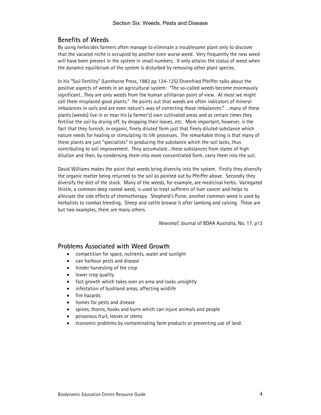# Benefits of Weeds

By using herbicides farmers often manage to eliminate a troublesome plant only to discover that the vacated niche is occupied by another even worse weed. Very frequently the new weed will have been present in the system in small numbers. It only attains the status of weed when the dynamic equilibrium of the system is disturbed by removing other plant species.

In his "Soil Fertility" (Lanthorne Press, 1983 pp 124-125) Ehrenfried Pfeiffer talks about the positive aspects of weeds in an agricultural system: "The so-called weeds become enormously significant…They are only weeds from the human utilitarian point of view. At most we might call them misplaced good plants." He points out that weeds are often indicators of mineral imbalances in soils and are even nature's way of correcting those imbalances:" …many of these plants (weeds) live in or near his (a farmer's) own cultivated areas and at certain times they fertilise the soil by drying off, by dropping their leaves, etc. More important, however, is the fact that they furnish, in organic, finely diluted form just that finely diluted substance which nature needs for healing or stimulating its life processes. The remarkable thing is that many of these plants are just "specialists" in producing the substance which the soil lacks, thus contributing to soil improvement. They accumulate…these substances from states of high dilution and then, by condensing them into more concentrated form, carry them into the soil.

David Williams makes the point that weeds bring diversity into the system. Firstly they diversify the organic matter being returned to the soil as pointed out by Pfeiffer above. Secondly they diversify the diet of the stock. Many of the weeds, for example, are medicinal herbs. Variegated thistle, a common deep rooted weed, is used to treat sufferers of liver cancer and helps to alleviate the side effects of chemotherapy. Shepherd's Purse, another common weed is used by herbalists to combat bleeding. Sheep and cattle browse it after lambing and calving. These are but two examples, there are many others.

Newsleaf, Journal of BDAA Australia, No. 17, p13

# Problems Associated with Weed Growth

- competition for space, nutrients, water and sunlight
- can harbour pests and disease
- hinder harvesting of the crop
- lower crop quality
- fast growth which takes over an area and looks unsightly
- infestation of bushland areas, affecting wildlife
- fire hazards
- homes for pests and disease
- spines, thorns, hooks and burrs which can injure animals and people
- poisonous fruit, leaves or stems
- economic problems by contaminating farm products or preventing use of land.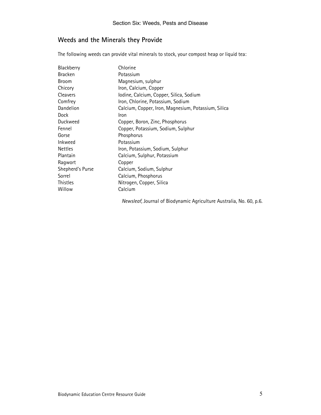# Weeds and the Minerals they Provide

The following weeds can provide vital minerals to stock, your compost heap or liquid tea:

| Blackberry       | Chlorine                                            |
|------------------|-----------------------------------------------------|
| <b>Bracken</b>   | Potassium                                           |
| Broom            | Magnesium, sulphur                                  |
| Chicory          | Iron, Calcium, Copper                               |
| Cleavers         | Iodine, Calcium, Copper, Silica, Sodium             |
| Comfrey          | Iron, Chlorine, Potassium, Sodium                   |
| Dandelion        | Calcium, Copper, Iron, Magnesium, Potassium, Silica |
| Dock             | Iron                                                |
| Duckweed         | Copper, Boron, Zinc, Phosphorus                     |
| Fennel           | Copper, Potassium, Sodium, Sulphur                  |
| Gorse            | Phosphorus                                          |
| Inkweed          | Potassium                                           |
| <b>Nettles</b>   | Iron, Potassium, Sodium, Sulphur                    |
| Plantain         | Calcium, Sulphur, Potassium                         |
| Ragwort          | Copper                                              |
| Shepherd's Purse | Calcium, Sodium, Sulphur                            |
| Sorrel           | Calcium, Phosphorus                                 |
| <b>Thistles</b>  | Nitrogen, Copper, Silica                            |
| Willow           | Calcium                                             |

Newsleaf, Journal of Biodynamic Agriculture Australia, No. 60, p.6.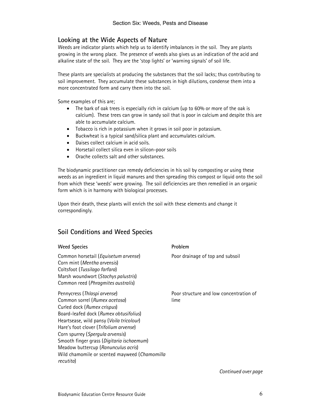# Looking at the Wide Aspects of Nature

Weeds are indicator plants which help us to identify imbalances in the soil. They are plants growing in the wrong place. The presence of weeds also gives us an indication of the acid and alkaline state of the soil. They are the 'stop lights' or 'warning signals' of soil life.

These plants are specialists at producing the substances that the soil lacks; thus contributing to soil improvement. They accumulate these substances in high dilutions, condense them into a more concentrated form and carry them into the soil.

Some examples of this are;

- The bark of oak trees is especially rich in calcium (up to 60% or more of the oak is calcium). These trees can grow in sandy soil that is poor in calcium and despite this are able to accumulate calcium.
- Tobacco is rich in potassium when it grows in soil poor in potassium.
- Buckwheat is a typical sand/silica plant and accumulates calcium.
- Daises collect calcium in acid soils.
- Horsetail collect silica even in silicon-poor soils
- Orache collects salt and other substances.

The biodynamic practitioner can remedy deficiencies in his soil by composting or using these weeds as an ingredient in liquid manures and then spreading this compost or liquid onto the soil from which these 'weeds' were growing. The soil deficiencies are then remedied in an organic form which is in harmony with biological processes.

Upon their death, these plants will enrich the soil with these elements and change it correspondingly.

# Soil Conditions and Weed Species

| <b>Weed Species</b>                                                                                                                                                                                                                                                                                                                                                                                                | Problem                                         |
|--------------------------------------------------------------------------------------------------------------------------------------------------------------------------------------------------------------------------------------------------------------------------------------------------------------------------------------------------------------------------------------------------------------------|-------------------------------------------------|
| Common horsetail (Equisetum arvense)<br>Corn mint (Mentha arvensis)<br>Coltsfoot (Tussilago farfara)<br>Marsh woundwort (Stachys palustris)<br>Common reed (Phragmites australis)                                                                                                                                                                                                                                  | Poor drainage of top and subsoil                |
| Pennycress (Thlaspi arvense)<br>Common sorrel (Rumex acetosa)<br>Curled dock (Rumex crispus)<br>Board-leafed dock (Rumex obtusifolius)<br>Heartsease, wild pansy (Voila tricolour)<br>Hare's foot clover (Trifolium arvense)<br>Corn spurrey (Spergula arvensis)<br>Smooth finger grass (Digitaria ischaemum)<br>Meadow buttercup (Ranunculus acris)<br>Wild chamomile or scented mayweed (Chamomilla<br>recutita) | Poor structure and low concentration of<br>lime |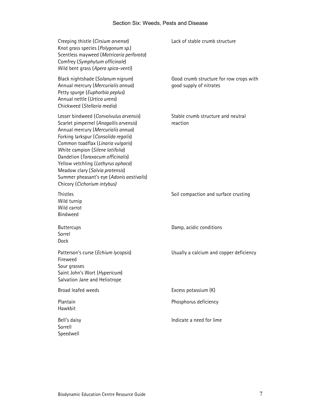| Creeping thistle (Cirsium arvense)<br>Knot grass species (Polygonum sp.)<br>Scentless mayweed (Matricaria perforata)<br>Comfrey (Symphytum officinale)<br>Wild bent grass (Apera spica-venti)                                                                                                                                                                                                                                      | Lack of stable crumb structure                                     |
|------------------------------------------------------------------------------------------------------------------------------------------------------------------------------------------------------------------------------------------------------------------------------------------------------------------------------------------------------------------------------------------------------------------------------------|--------------------------------------------------------------------|
| Black nightshade (Solanum nigrum)<br>Annual mercury (Mercurialis annua)<br>Petty spurge (Euphorbia peplus)<br>Annual nettle (Urtica urens)<br>Chickweed (Stellaria media)                                                                                                                                                                                                                                                          | Good crumb structure for row crops with<br>good supply of nitrates |
| Lesser bindweed (Convolvulus arvensis)<br>Scarlet pimpernel (Anagallis arvensis)<br>Annual mercury (Mercurialis annua)<br>Forking larkspur (Consolida regalis)<br>Common toadflax (Linaria vulgaris)<br>White campion (Silene latifolia)<br>Dandelion (Taraxacum officinalis)<br>Yellow vetchling (Lathyrus aphaca)<br>Meadow clary (Salvia pratensis)<br>Summer pheasant's eye (Adonis aestivalis)<br>Chicory (Cichorium intybus) | Stable crumb structure and neutral<br>reaction                     |
| Thistles<br>Wild turnip<br>Wild carrot<br>Bindweed                                                                                                                                                                                                                                                                                                                                                                                 | Soil compaction and surface crusting                               |
| <b>Buttercups</b><br>Sorrel<br>Dock                                                                                                                                                                                                                                                                                                                                                                                                | Damp, acidic conditions                                            |
| Patterson's curse (Echium lycopsis)<br>Fireweed<br>Sour grasses<br>Saint John's Wort (Hypericum)<br>Salvation Jane and Heliotrope                                                                                                                                                                                                                                                                                                  | Usually a calcium and copper deficiency                            |
| Broad leafed weeds                                                                                                                                                                                                                                                                                                                                                                                                                 | Excess potassium (K)                                               |
| Plantain<br>Hawkbit                                                                                                                                                                                                                                                                                                                                                                                                                | Phosphorus deficiency                                              |
| Bell's daisy<br>Sorrell<br>Speedwell                                                                                                                                                                                                                                                                                                                                                                                               | Indicate a need for lime                                           |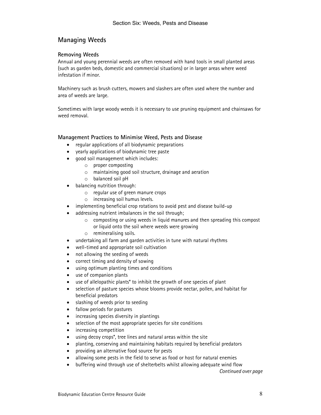# Managing Weeds

#### Removing Weeds

Annual and young perennial weeds are often removed with hand tools in small planted areas (such as garden beds, domestic and commercial situations) or in larger areas where weed infestation if minor.

Machinery such as brush cutters, mowers and slashers are often used where the number and area of weeds are large.

Sometimes with large woody weeds it is necessary to use pruning equipment and chainsaws for weed removal.

#### Management Practices to Minimise Weed, Pests and Disease

- regular applications of all biodynamic preparations
- yearly applications of biodynamic tree paste
- good soil management which includes:
	- o proper composting
	- o maintaining good soil structure, drainage and aeration
	- o balanced soil pH
- balancing nutrition through:
	- o regular use of green manure crops
	- o increasing soil humus levels.
- implementing beneficial crop rotations to avoid pest and disease build-up
- addressing nutrient imbalances in the soil through;
	- $\circ$  composting or using weeds in liquid manures and then spreading this compost or liquid onto the soil where weeds were growing
	- o remineralising soils.
- undertaking all farm and garden activities in tune with natural rhythms
- well-timed and appropriate soil cultivation
- not allowing the seeding of weeds
- correct timing and density of sowing
- using optimum planting times and conditions
- use of companion plants
- use of allelopathic plants\* to inhibit the growth of one species of plant
- selection of pasture species whose blooms provide nectar, pollen, and habitat for beneficial predators
- slashing of weeds prior to seeding
- fallow periods for pastures
- increasing species diversity in plantings
- selection of the most appropriate species for site conditions
- increasing competition
- using decoy crops\*, tree lines and natural areas within the site
- planting, conserving and maintaining habitats required by beneficial predators
- providing an alternative food source for pests
- allowing some pests in the field to serve as food or host for natural enemies
- buffering wind through use of shelterbelts whilst allowing adequate wind flow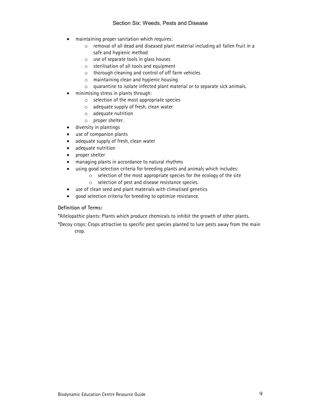- maintaining proper sanitation which requires:
	- o removal of all dead and diseased plant material including all fallen fruit in a safe and hygienic method
	- o use of separate tools in glass houses
	- o sterilisation of all tools and equipment
	- o thorough cleaning and control of off farm vehicles
	- o maintaining clean and hygienic housing
	- o quarantine to isolate infected plant material or to separate sick animals.
- minimising stress in plants through:
	- o selection of the most appropriate species
	- o adequate supply of fresh, clean water
	- o adequate nutrition
	- o proper shelter.
	- diversity in plantings
- use of companion plants
- adequate supply of fresh, clean water
- adequate nutrition
- proper shelter
- managing plants in accordance to natural rhythms
- using good selection criteria for breeding plants and animals which includes:
	- $\circ$  selection of the most appropriate species for the ecology of the site
	- o selection of pest and disease resistance species.
- use of clean seed and plant materials with climatised genetics
- good selection criteria for breeding to optimize resistance.

#### Definition of Terms:

\*Allelopathic plants: Plants which produce chemicals to inhibit the growth of other plants.

\*Decoy crops: Crops attractive to specific pest species planted to lure pests away from the main crop.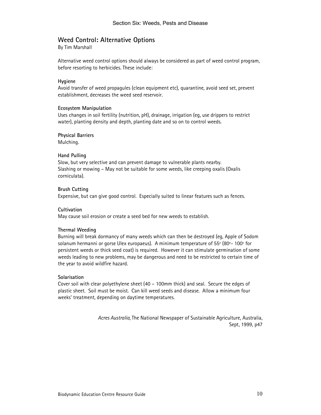# Weed Control: Alternative Options

By Tim Marshall

Alternative weed control options should always be considered as part of weed control program, before resorting to herbicides. These include:

#### Hygiene

Avoid transfer of weed propagules (clean equipment etc), quarantine, avoid seed set, prevent establishment, decreases the weed seed reservoir.

#### Ecosystem Manipulation

Uses changes in soil fertility (nutrition, pH), drainage, irrigation (eg, use drippers to restrict water), planting density and depth, planting date and so on to control weeds.

#### Physical Barriers

Mulching.

#### Hand Pulling

Slow, but very selective and can prevent damage to vulnerable plants nearby. Slashing or mowing – May not be suitable for some weeds, like creeping oxalis (Oxalis corniculata).

#### Brush Cutting

Expensive, but can give good control. Especially suited to linear features such as fences.

#### **Cultivation**

May cause soil erosion or create a seed bed for new weeds to establish.

#### Thermal Weeding

Burning will break dormancy of many weeds which can then be destroyed (eg, Apple of Sodom solanum hermanni or gorse Ulex europaeus). A minimum temperature of 55º (80º- 100º for persistent weeds or thick seed coat) is required. However it can stimulate germination of some weeds leading to new problems, may be dangerous and need to be restricted to certain time of the year to avoid wildfire hazard.

#### Solarisation

Cover soil with clear polyethylene sheet (40 – 100mm thick) and seal. Secure the edges of plastic sheet. Soil must be moist. Can kill weed seeds and disease. Allow a minimum four weeks' treatment, depending on daytime temperatures.

> Acres Australia, The National Newspaper of Sustainable Agriculture, Australia, Sept, 1999, p47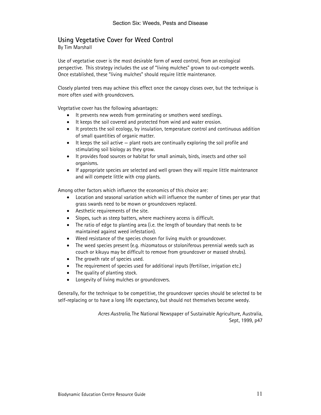# Using Vegetative Cover for Weed Control

By Tim Marshall

Use of vegetative cover is the most desirable form of weed control, from an ecological perspective. This strategy includes the use of "living mulches" grown to out-compete weeds. Once established, these "living mulches" should require little maintenance.

Closely planted trees may achieve this effect once the canopy closes over, but the technique is more often used with groundcovers.

Vegetative cover has the following advantages:

- It prevents new weeds from germinating or smothers weed seedlings.
- It keeps the soil covered and protected from wind and water erosion.
- It protects the soil ecology, by insulation, temperature control and continuous addition of small quantities of organic matter.
- It keeps the soil active plant roots are continually exploring the soil profile and stimulating soil biology as they grow.
- It provides food sources or habitat for small animals, birds, insects and other soil organisms.
- If appropriate species are selected and well grown they will require little maintenance and will compete little with crop plants.

Among other factors which influence the economics of this choice are:

- Location and seasonal variation which will influence the number of times per year that grass swards need to be mown or groundcovers replaced.
- Aesthetic requirements of the site.
- Slopes, such as steep batters, where machinery access is difficult.
- The ratio of edge to planting area (i.e. the length of boundary that needs to be maintained against weed infestation).
- Weed resistance of the species chosen for living mulch or groundcover.
- The weed species present (e.g. rhizomatous or stoloniferous perennial weeds such as couch or kikuyu may be difficult to remove from groundcover or massed shrubs).
- The growth rate of species used.
- The requirement of species used for additional inputs (fertiliser, irrigation etc.)
- The quality of planting stock.
- Longevity of living mulches or groundcovers.

Generally, for the technique to be competitive, the groundcover species should be selected to be self-replacing or to have a long life expectancy, but should not themselves become weedy.

> Acres Australia, The National Newspaper of Sustainable Agriculture, Australia, Sept, 1999, p47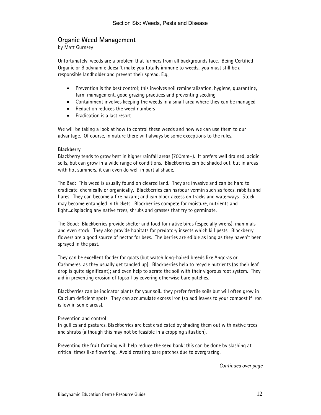# Organic Weed Management

by Matt Gurnsey

Unfortunately, weeds are a problem that farmers from all backgrounds face. Being Certified Organic or Biodynamic doesn't make you totally immune to weeds...you must still be a responsible landholder and prevent their spread. E.g.,

- Prevention is the best control; this involves soil remineralization, hygiene, quarantine, farm management, good grazing practices and preventing seeding
- Containment involves keeping the weeds in a small area where they can be managed
- Reduction reduces the weed numbers
- Eradication is a last resort

We will be taking a look at how to control these weeds and how we can use them to our advantage. Of course, in nature there will always be some exceptions to the rules.

#### **Blackberry**

Blackberry tends to grow best in higher rainfall areas (700mm+). It prefers well drained, acidic soils, but can grow in a wide range of conditions. Blackberries can be shaded out, but in areas with hot summers, it can even do well in partial shade.

The Bad: This weed is usually found on cleared land. They are invasive and can be hard to eradicate, chemically or organically. Blackberries can harbour vermin such as foxes, rabbits and hares. They can become a fire hazard; and can block access on tracks and waterways. Stock may become entangled in thickets. Blackberries compete for moisture, nutrients and light...displacing any native trees, shrubs and grasses that try to germinate.

The Good: Blackberries provide shelter and food for native birds (especially wrens), mammals and even stock. They also provide habitats for predatory insects which kill pests. Blackberry flowers are a good source of nectar for bees. The berries are edible as long as they haven't been sprayed in the past.

They can be excellent fodder for goats (but watch long-haired breeds like Angoras or Cashmeres, as they usually get tangled up). Blackberries help to recycle nutrients (as their leaf drop is quite significant); and even help to aerate the soil with their vigorous root system. They aid in preventing erosion of topsoil by covering otherwise bare patches.

Blackberries can be indicator plants for your soil...they prefer fertile soils but will often grow in Calcium deficient spots. They can accumulate excess Iron (so add leaves to your compost if Iron is low in some areas).

#### Prevention and control:

In gullies and pastures, Blackberries are best eradicated by shading them out with native trees and shrubs (although this may not be feasible in a cropping situation).

Preventing the fruit forming will help reduce the seed bank; this can be done by slashing at critical times like flowering. Avoid creating bare patches due to overgrazing.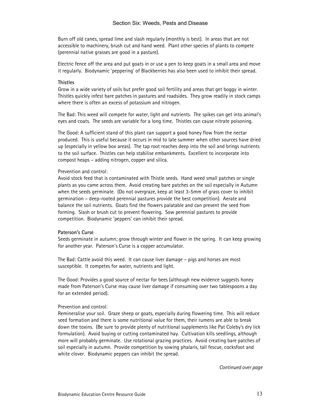Burn off old canes, spread lime and slash regularly (monthly is best). In areas that are not accessible to machinery, brush cut and hand weed. Plant other species of plants to compete (perennial native grasses are good in a pasture).

Electric fence off the area and put goats in or use a pen to keep goats in a small area and move it regularly. Biodynamic 'peppering' of Blackberries has also been used to inhibit their spread.

#### **Thistles**

Grow in a wide variety of soils but prefer good soil fertility and areas that get boggy in winter. Thistles quickly infest bare patches in pastures and roadsides. They grow readily in stock camps where there is often an excess of potassium and nitrogen.

The Bad: This weed will compete for water, light and nutrients. The spikes can get into animal's eyes and coats. The seeds are variable for a long time. Thistles can cause nitrate poisoning.

The Good: A sufficient stand of this plant can support a good honey flow from the nectar produced. This is useful because it occurs in mid to late summer when other sources have dried up (especially in yellow box areas). The tap root reaches deep into the soil and brings nutrients to the soil surface. Thistles can help stabilise embankments. Excellent to incorporate into compost heaps – adding nitrogen, copper and silica.

#### Prevention and control:

Avoid stock feed that is contaminated with Thistle seeds. Hand weed small patches or single plants as you came across them. Avoid creating bare patches on the soil especially in Autumn when the seeds germinate. (Do not overgraze, keep at least 3-5mm of grass cover to inhibit germination – deep-rooted perennial pastures provide the best competition). Aerate and balance the soil nutrients. Goats find the flowers palatable and can prevent the seed from forming. Slash or brush cut to prevent flowering. Sow perennial pastures to provide competition. Biodynamic 'peppers' can inhibit their spread.

#### Paterson's Curse

Seeds germinate in autumn; grow through winter and flower in the spring. It can keep growing for another year. Paterson's Curse is a copper accumulator.

The Bad: Cattle avoid this weed. It can cause liver damage – pigs and horses are most susceptible. It competes for water, nutrients and light.

The Good: Provides a good source of nectar for bees (although new evidence suggests honey made from Paterson's Curse may cause liver damage if consuming over two tablespoons a day for an extended period).

#### Prevention and control:

Remineralise your soil. Graze sheep or goats, especially during flowering time. This will reduce seed formation and there is some nutritional value for them, their rumens are able to break down the toxins. (Be sure to provide plenty of nutritional supplements like Pat Coleby's dry lick formulation). Avoid buying or cutting contaminated hay. Cultivation kills seedlings, although more will probably germinate. Use rotational grazing practices. Avoid creating bare patches of soil especially in autumn. Provide competition by sowing phalaris, tall fescue, cocksfoot and white clover. Biodynamic peppers can inhibit the spread.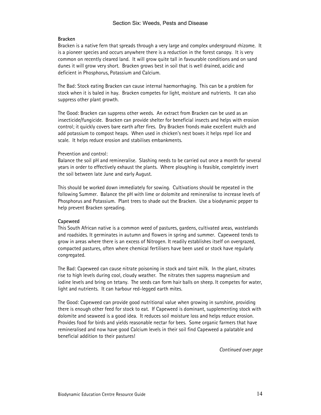#### Bracken

Bracken is a native fern that spreads through a very large and complex underground rhizome. It is a pioneer species and occurs anywhere there is a reduction in the forest canopy. It is very common on recently cleared land. It will grow quite tall in favourable conditions and on sand dunes it will grow very short. Bracken grows best in soil that is well drained, acidic and deficient in Phosphorus, Potassium and Calcium.

The Bad: Stock eating Bracken can cause internal haemorrhaging. This can be a problem for stock when it is baled in hay. Bracken competes for light, moisture and nutrients. It can also suppress other plant growth.

The Good: Bracken can suppress other weeds. An extract from Bracken can be used as an insecticide/fungicide. Bracken can provide shelter for beneficial insects and helps with erosion control; it quickly covers bare earth after fires. Dry Bracken fronds make excellent mulch and add potassium to compost heaps. When used in chicken's nest boxes it helps repel lice and scale. It helps reduce erosion and stabilises embankments.

#### Prevention and control:

Balance the soil pH and remineralise. Slashing needs to be carried out once a month for several years in order to effectively exhaust the plants. Where ploughing is feasible, completely invert the soil between late June and early August.

This should be worked down immediately for sowing. Cultivations should be repeated in the following Summer. Balance the pH with lime or dolomite and remineralise to increase levels of Phosphorus and Potassium. Plant trees to shade out the Bracken. Use a biodynamic pepper to help prevent Bracken spreading.

#### Capeweed

This South African native is a common weed of pastures, gardens, cultivated areas, wastelands and roadsides. It germinates in autumn and flowers in spring and summer. Capeweed tends to grow in areas where there is an excess of Nitrogen. It readily establishes itself on overgrazed, compacted pastures, often where chemical fertilisers have been used or stock have regularly congregated.

The Bad: Capeweed can cause nitrate poisoning in stock and taint milk. In the plant, nitrates rise to high levels during cool, cloudy weather. The nitrates then suppress magnesium and iodine levels and bring on tetany. The seeds can form hair balls on sheep. It competes for water, light and nutrients. It can harbour red-legged earth mites.

The Good: Capeweed can provide good nutritional value when growing in sunshine, providing there is enough other feed for stock to eat. If Capeweed is dominant, supplementing stock with dolomite and seaweed is a good idea. It reduces soil moisture loss and helps reduce erosion. Provides food for birds and yields reasonable nectar for bees. Some organic farmers that have remineralised and now have good Calcium levels in their soil find Capeweed a palatable and beneficial addition to their pastures!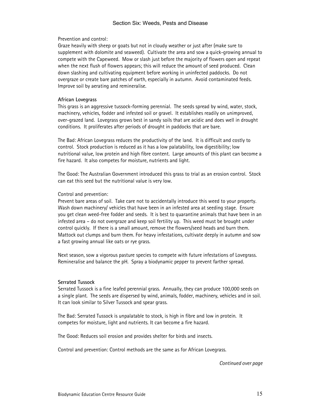Prevention and control:

Graze heavily with sheep or goats but not in cloudy weather or just after (make sure to supplement with dolomite and seaweed). Cultivate the area and sow a quick-growing annual to compete with the Capeweed. Mow or slash just before the majority of flowers open and repeat when the next flush of flowers appears; this will reduce the amount of seed produced. Clean down slashing and cultivating equipment before working in uninfected paddocks. Do not overgraze or create bare patches of earth, especially in autumn. Avoid contaminated feeds. Improve soil by aerating and remineralise.

#### African Lovegrass

This grass is an aggressive tussock-forming perennial. The seeds spread by wind, water, stock, machinery, vehicles, fodder and infested soil or gravel. It establishes readily on unimproved, over-grazed land. Lovegrass grows best in sandy soils that are acidic and does well in drought conditions. It proliferates after periods of drought in paddocks that are bare.

The Bad: African Lovegrass reduces the productivity of the land. It is difficult and costly to control. Stock production is reduced as it has a low palatability, low digestibility; low nutritional value, low protein and high fibre content. Large amounts of this plant can become a fire hazard. It also competes for moisture, nutrients and light.

The Good: The Australian Government introduced this grass to trial as an erosion control. Stock can eat this seed but the nutritional value is very low.

#### Control and prevention:

Prevent bare areas of soil. Take care not to accidentally introduce this weed to your property. Wash down machinery/ vehicles that have been in an infested area at seeding stage. Ensure you get clean weed-free fodder and seeds. It is best to quarantine animals that have been in an infested area – do not overgraze and keep soil fertility up. This weed must be brought under control quickly. If there is a small amount, remove the flowers/seed heads and burn them. Mattock out clumps and burn them. For heavy infestations, cultivate deeply in autumn and sow a fast growing annual like oats or rye grass.

Next season, sow a vigorous pasture species to compete with future infestations of Lovegrass. Remineralise and balance the pH. Spray a biodynamic pepper to prevent farther spread.

#### Serrated Tussock

Serrated Tussock is a fine leafed perennial grass. Annually, they can produce 100,000 seeds on a single plant. The seeds are dispersed by wind, animals, fodder, machinery, vehicles and in soil. It can look similar to Silver Tussock and spear grass.

The Bad: Serrated Tussock is unpalatable to stock, is high in fibre and low in protein. It competes for moisture, light and nutrients. It can become a fire hazard.

The Good: Reduces soil erosion and provides shelter for birds and insects.

Control and prevention: Control methods are the same as for African Lovegrass.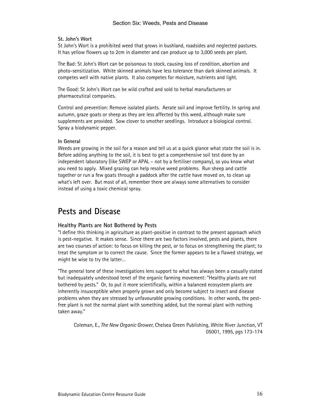#### St. John's Wort

St John's Wort is a prohibited weed that grows in bushland, roadsides and neglected pastures. It has yellow flowers up to 2cm in diameter and can produce up to 3,000 seeds per plant.

The Bad: St John's Wort can be poisonous to stock, causing loss of condition, abortion and photo-sensitization. White skinned animals have less tolerance than dark skinned animals. It competes well with native plants. It also competes for moisture, nutrients and light.

The Good: St John's Wort can be wild crafted and sold to herbal manufacturers or pharmaceutical companies.

Control and prevention: Remove isolated plants. Aerate soil and improve fertility. In spring and autumn, graze goats or sheep as they are less affected by this weed, although make sure supplements are provided. Sow clover to smother seedlings. Introduce a biological control. Spray a biodynamic pepper.

#### In General

Weeds are growing in the soil for a reason and tell us at a quick glance what state the soil is in. Before adding anything to the soil, it is best to get a comprehensive soil test done by an independent laboratory (like SWEP or APAL – not by a fertiliser company), so you know what you need to apply. Mixed grazing can help resolve weed problems. Run sheep and cattle together or run a few goats through a paddock after the cattle have moved on, to clean up what's left over. But most of all, remember there are always some alternatives to consider instead of using a toxic chemical spray.

# Pests and Disease

#### Healthy Plants are Not Bothered by Pests

"I define this thinking in agriculture as plant-positive in contrast to the present approach which is pest-negative. It makes sense. Since there are two factors involved, pests and plants, there are two courses of action: to focus on killing the pest, or to focus on strengthening the plant; to treat the symptom or to correct the cause. Since the former appears to be a flawed strategy, we might be wise to try the latter…

"The general tone of these investigations lens support to what has always been a casually stated but inadequately understood tenet of the organic farming movement: "Healthy plants are not bothered by pests." Or, to put it more scientifically, within a balanced ecosystem plants are inherently insusceptible when properly grown and only become subject to insect and disease problems when they are stressed by unfavourable growing conditions. In other words, the pestfree plant is not the normal plant with something added, but the normal plant with nothing taken away."

Coleman, E., The New Organic Grower, Chelsea Green Publishing, White River Junction, VT 05001, 1995, pgs 173-174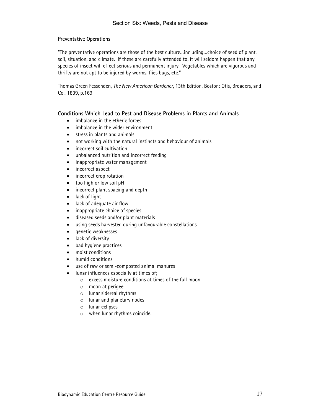#### Preventative Operations

"The preventative operations are those of the best culture…including…choice of seed of plant, soil, situation, and climate. If these are carefully attended to, it will seldom happen that any species of insect will effect serious and permanent injury. Vegetables which are vigorous and thrifty are not apt to be injured by worms, flies bugs, etc."

Thomas Green Fessenden, The New American Gardener, 13th Edition, Boston: Otis, Broaders, and Co., 1839, p.169

#### Conditions Which Lead to Pest and Disease Problems in Plants and Animals

- imbalance in the etheric forces
- imbalance in the wider environment
- stress in plants and animals
- not working with the natural instincts and behaviour of animals
- incorrect soil cultivation
- unbalanced nutrition and incorrect feeding
- inappropriate water management
- incorrect aspect
- incorrect crop rotation
- too high or low soil pH
- incorrect plant spacing and depth
- lack of light
- lack of adequate air flow
- inappropriate choice of species
- diseased seeds and/or plant materials
- using seeds harvested during unfavourable constellations
- genetic weaknesses
- lack of diversity
- bad hygiene practices
- moist conditions
- humid conditions
- use of raw or semi-composted animal manures
- lunar influences especially at times of;
	- o excess moisture conditions at times of the full moon
	- o moon at perigee
	- o lunar sidereal rhythms
	- o lunar and planetary nodes
	- o lunar eclipses
	- o when lunar rhythms coincide.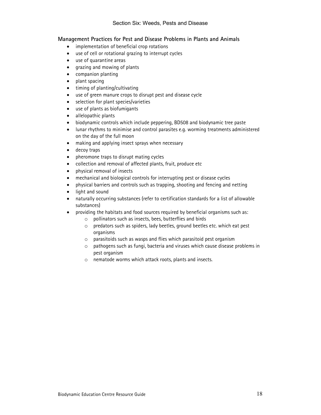# Management Practices for Pest and Disease Problems in Plants and Animals

- implementation of beneficial crop rotations
- use of cell or rotational grazing to interrupt cycles
- use of quarantine areas
- grazing and mowing of plants
- companion planting
- plant spacing
- timing of planting/cultivating
- use of green manure crops to disrupt pest and disease cycle
- selection for plant species/varieties
- use of plants as biofumigants
- allelopathic plants
- biodynamic controls which include peppering, BD508 and biodynamic tree paste
- lunar rhythms to minimise and control parasites e.g. worming treatments administered on the day of the full moon
- making and applying insect sprays when necessary
- decoy traps
- pheromone traps to disrupt mating cycles
- collection and removal of affected plants, fruit, produce etc
- physical removal of insects
- mechanical and biological controls for interrupting pest or disease cycles
- physical barriers and controls such as trapping, shooting and fencing and netting
- light and sound
- naturally occurring substances (refer to certification standards for a list of allowable substances)
- providing the habitats and food sources required by beneficial organisms such as:
	- o pollinators such as insects, bees, butterflies and birds
	- o predators such as spiders, lady beetles, ground beetles etc. which eat pest organisms
	- o parasitoids such as wasps and flies which parasitoid pest organism
	- o pathogens such as fungi, bacteria and viruses which cause disease problems in pest organism
	- o nematode worms which attack roots, plants and insects.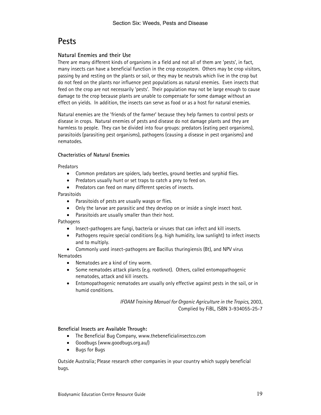# **Pests**

# Natural Enemies and their Use

There are many different kinds of organisms in a field and not all of them are 'pests', in fact, many insects can have a beneficial function in the crop ecosystem. Others may be crop visitors, passing by and resting on the plants or soil, or they may be neutrals which live in the crop but do not feed on the plants nor influence pest populations as natural enemies. Even insects that feed on the crop are not necessarily 'pests'. Their population may not be large enough to cause damage to the crop because plants are unable to compensate for some damage without an effect on yields. In addition, the insects can serve as food or as a host for natural enemies.

Natural enemies are the 'friends of the farmer' because they help farmers to control pests or disease in crops. Natural enemies of pests and disease do not damage plants and they are harmless to people. They can be divided into four groups: predators (eating pest organisms), parasitoids (parasiting pest organisms), pathogens (causing a disease in pest organisms) and nematodes.

## Chacteristics of Natural Enemies

#### Predators

- Common predators are spiders, lady beetles, ground beetles and syrphid flies.
- Predators usually hunt or set traps to catch a prey to feed on.
- Predators can feed on many different species of insects.

## Parasitoids

- Parasitoids of pests are usually wasps or flies.
- Only the larvae are parasitic and they develop on or inside a single insect host.
- Parasitoids are usually smaller than their host.

Pathogens

- Insect-pathogens are fungi, bacteria or viruses that can infect and kill insects.
- Pathogens require special conditions (e.g. high humidity, low sunlight) to infect insects and to multiply.
- Commonly used insect-pathogens are Bacillus thuringiensis (Bt), and NPV virus **Nematodes** 
	- Nematodes are a kind of tiny worm.
	- Some nematodes attack plants (e.g. rootknot). Others, called entomopathogenic nematodes, attack and kill insects.
	- Entomopathogenic nematodes are usually only effective against pests in the soil, or in humid conditions.

IFOAM Training Manual for Organic Agriculture in the Tropics, 2003, Complied by FiBL, ISBN 3-934055-25-7

Beneficial Insects are Available Through:

- The Beneficial Bug Company, www.thebeneficialinsectco.com
- Goodbugs (www.goodbugs.org.au/)
- Bugs for Bugs

Outside Australia; Please research other companies in your country which supply beneficial bugs.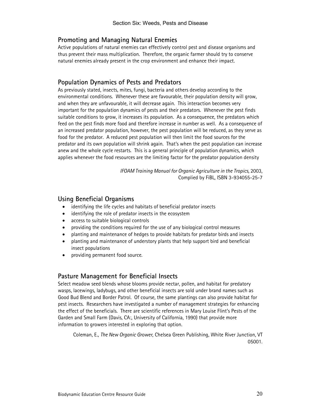# Promoting and Managing Natural Enemies

Active populations of natural enemies can effectively control pest and disease organisms and thus prevent their mass multiplication. Therefore, the organic farmer should try to conserve natural enemies already present in the crop environment and enhance their impact.

# Population Dynamics of Pests and Predators

As previously stated, insects, mites, fungi, bacteria and others develop according to the environmental conditions. Whenever these are favourable, their population density will grow, and when they are unfavourable, it will decrease again. This interaction becomes very important for the population dynamics of pests and their predators. Whenever the pest finds suitable conditions to grow, it increases its population. As a consequence, the predators which feed on the pest finds more food and therefore increase in number as well. As a consequence of an increased predator population, however, the pest population will be reduced, as they serve as food for the predator. A reduced pest population will then limit the food sources for the predator and its own population will shrink again. That's when the pest population can increase anew and the whole cycle restarts. This is a general principle of population dynamics, which applies whenever the food resources are the limiting factor for the predator population density

> IFOAM Training Manual for Organic Agriculture in the Tropics, 2003, Complied by FiBL, ISBN 3-934055-25-7

# Using Beneficial Organisms

- identifying the life cycles and habitats of beneficial predator insects
- identifying the role of predator insects in the ecosystem
- access to suitable biological controls
- providing the conditions required for the use of any biological control measures
- planting and maintenance of hedges to provide habitats for predator birds and insects
- planting and maintenance of understory plants that help support bird and beneficial insect populations
- providing permanent food source.

# Pasture Management for Beneficial Insects

Select meadow seed blends whose blooms provide nectar, pollen, and habitat for predatory wasps, lacewings, ladybugs, and other beneficial insects are sold under brand names such as Good Bud Blend and Border Patrol. Of course, the same plantings can also provide habitat for pest insects. Researchers have investigated a number of management strategies for enhancing the effect of the beneficials. There are scientific references in Mary Louise Flint's Pests of the Garden and Small Farm (Davis, CA:, University of California, 1990) that provide more information to growers interested in exploring that option.

Coleman, E., The New Organic Grower, Chelsea Green Publishing, White River Junction, VT 05001.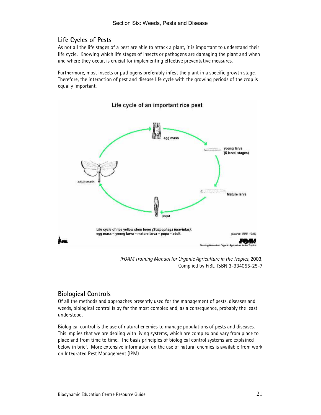# Life Cycles of Pests

As not all the life stages of a pest are able to attack a plant, it is important to understand their life cycle. Knowing which life stages of insects or pathogens are damaging the plant and when and where they occur, is crucial for implementing effective preventative measures.

Furthermore, most insects or pathogens preferably infest the plant in a specific growth stage. Therefore, the interaction of pest and disease life cycle with the growing periods of the crop is equally important.



Life cycle of an important rice pest

IFOAM Training Manual for Organic Agriculture in the Tropics, 2003, Complied by FiBL, ISBN 3-934055-25-7

# Biological Controls

Of all the methods and approaches presently used for the management of pests, diseases and weeds, biological control is by far the most complex and, as a consequence, probably the least understood.

Biological control is the use of natural enemies to manage populations of pests and diseases. This implies that we are dealing with living systems, which are complex and vary from place to place and from time to time. The basis principles of biological control systems are explained below in brief. More extensive information on the use of natural enemies is available from work on Integrated Pest Management (IPM).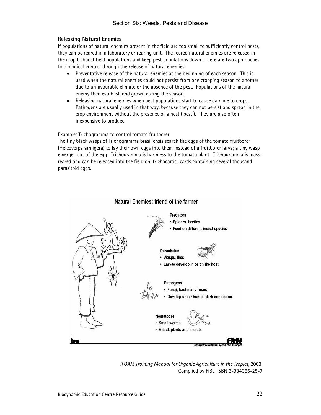## Releasing Natural Enemies

If populations of natural enemies present in the field are too small to sufficiently control pests, they can be reared in a laboratory or rearing unit. The reared natural enemies are released in the crop to boost field populations and keep pest populations down. There are two approaches to biological control through the release of natural enemies.

- Preventative release of the natural enemies at the beginning of each season. This is used when the natural enemies could not persist from one cropping season to another due to unfavourable climate or the absence of the pest. Populations of the natural enemy then establish and grown during the season.
- Releasing natural enemies when pest populations start to cause damage to crops. Pathogens are usually used in that way, because they can not persist and spread in the crop environment without the presence of a host ('pest'). They are also often inexpensive to produce.

Example: Trichogramma to control tomato fruitborer

The tiny black wasps of Trichogramma brasiliensis search the eggs of the tomato fruitborer (Helcoverpa armigera) to lay their own eggs into them instead of a fruitborer larva; a tiny wasp emerges out of the egg. Trichogramma is harmless to the tomato plant. Trichogramma is massreared and can be released into the field on 'trichocards', cards containing several thousand parasitoid eggs.



#### Natural Enemies: friend of the farmer

IFOAM Training Manual for Organic Agriculture in the Tropics, 2003, Complied by FiBL, ISBN 3-934055-25-7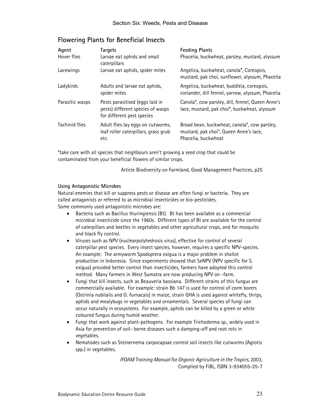# Flowering Plants for Beneficial Insects

| Agent                 | Targets                                                                                            | <b>Feeding Plants</b>                                                                                         |
|-----------------------|----------------------------------------------------------------------------------------------------|---------------------------------------------------------------------------------------------------------------|
| Hover flies           | Larvae eat aphids and small<br>caterpillars                                                        | Phacelia, buckwheat, parsley, mustard, alyssum                                                                |
| Lacewings             | Larvae eat aphids, spider mites                                                                    | Angelica, buckwheat, canola*, Coreopsis,<br>mustard, pak choi, sunflower, alyssum, Phacelia                   |
| Ladybirds             | Adults and larvae eat aphids,<br>spider mites                                                      | Angelica, buckwheat, buddleia, coreopsis,<br>coriander, dill fennel, yarrow, alyssum, Phacelia                |
| Parasitic wasps       | Pests parasitised (eggs laid in<br>pests) different species of wasps<br>for different pest species | Canola*, cow parsley, dill, fennel, Queen Anne's<br>lace, mustard, pak choi*, buckwheat, alyssum              |
| <b>Tachinid flies</b> | Adult flies lay eggs on cutworms,<br>leaf roller caterpillars, grass grub<br>etc.                  | Broad bean, buckwheat, canola*, cow parsley,<br>mustard, pak choi*, Queen Anne's lace,<br>Phacelia, buckwheat |

\*take care with all species that neighbours aren't growing a seed crop that could be contaminated from your beneficial flowers of similar crops.

Article Biodiversity on Farmland, Good Management Practices, p25

#### Using Antagonistic Microbes

Natural enemies that kill or suppress pests or disease are often fungi or bacteria. They are called antagonists or referred to as microbial insecticides or bio-pesticides. Some commonly used antagonistic microbes are:

- Bacteria such as Bacillus thuringiensis (Bt). Bt has been available as a commercial microbial insecticide since the 1960s. Different types of Bt are available for the control of caterpillars and beetles in vegetables and other agricultural crops, and for mosquito and black fly control.
- Viruses such as NPV (nuclearpolyhedrosis virus), effective for control of several caterpillar pest species. Every insect species, however, requires a specific NPV-species. An example: The armyworm Spodoptera exigua is a major problem in shallot production in Indonesia. Since experiments showed that SeNPV (NPV specific for S. exigua) provided better control than insecticides, farmers have adopted this control method. Many farmers in West Sumatra are now producing NPV on -farm.
- Fungi that kill insects, such as Beauveria bassiana. Different strains of this fungus are commercially available. For example: strain Bb 147 is used for control of corm borers (Ostrinia nubilalis and O. furnacais) in maize, strain GHA is used against whitefly, thrips, aphids and mealybugs in vegetables and ornamentals. Several species of fungi can occur naturally in ecosystems. For example, aphids can be killed by a green or white coloured fungus during humid weather.
- Fungi that work against plant-pathogens. For example Trichoderma sp., widely used in Asia for prevention of soil- borne diseases such a damping-off and root rots in vegetables.
- Nematodes such as Steinernema carpocapsae control soil insects like cutworms (Agrotis spp.) in vegetables.

IFOAM Training Manual for Organic Agriculture in the Tropics, 2003, Complied by FiBL, ISBN 3-934055-25-7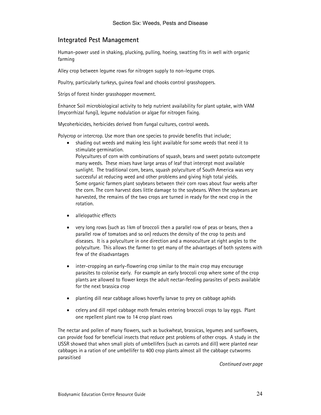# Integrated Pest Management

Human-power used in shaking, plucking, pulling, hoeing, swatting fits in well with organic farming

Alley crop between legume rows for nitrogen supply to non-legume crops.

Poultry, particularly turkeys, guinea fowl and chooks control grasshoppers.

Strips of forest hinder grasshopper movement.

Enhance Soil microbiological activity to help nutrient availability for plant uptake, with VAM (mycorrhizal fungi), legume nodulation or algae for nitrogen fixing.

Mycoherbicides, herbicides derived from fungal cultures, control weeds.

Polycrop or intercrop. Use more than one species to provide benefits that include;

• shading out weeds and making less light available for some weeds that need it to stimulate germination.

Polycultures of corn with combinations of squash, beans and sweet potato outcompete many weeds. These mixes have large areas of leaf that intercept most available sunlight. The traditional corn, beans, squash polyculture of South America was very successful at reducing weed and other problems and giving high total yields. Some organic farmers plant soybeans between their corn rows about four weeks after the corn. The corn harvest does little damage to the soybeans. When the soybeans are harvested, the remains of the two crops are turned in ready for the next crop in the rotation.

- allelopathic effects
- very long rows (such as 1km of broccoli then a parallel row of peas or beans, then a parallel row of tomatoes and so on) reduces the density of the crop to pests and diseases. It is a polyculture in one direction and a monoculture at right angles to the polyculture. This allows the farmer to get many of the advantages of both systems with few of the disadvantages
- inter-cropping an early-flowering crop similar to the main crop may encourage parasites to colonise early. For example an early broccoli crop where some of the crop plants are allowed to flower keeps the adult nectar-feeding parasites of pests available for the next brassica crop
- planting dill near cabbage allows hoverfly larvae to prey on cabbage aphids
- celery and dill repel cabbage moth females entering broccoli crops to lay eggs. Plant one repellent plant row to 14 crop plant rows

The nectar and pollen of many flowers, such as buckwheat, brassicas, legumes and sunflowers, can provide food for beneficial insects that reduce pest problems of other crops. A study in the USSR showed that when small plots of umbellifers (such as carrots and dill) were planted near cabbages in a ration of one umbellifer to 400 crop plants almost all the cabbage cutworms parasitised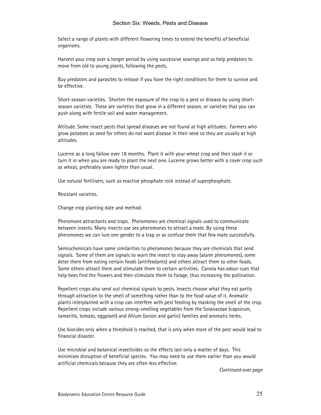Select a range of plants with different flowering times to extend the benefits of beneficial organisms.

Harvest your crop over a longer period by using successive sowings and so help predators to move from old to young plants, following the pests.

Buy predators and parasites to release if you have the right conditions for them to survive and be effective.

Short-season varieties. Shorten the exposure of the crop to a pest or disease by using shortseason varieties. These are varieties that grow in a different season, or varieties that you can push along with fertile soil and water management.

Altitude. Some insect pests that spread diseases are not found at high altitudes. Farmers who grow potatoes as seed for others do not want disease in their seed so they are usually at high altitudes.

Lucerne as a long fallow over 18 months. Plant it with your wheat crop and then slash it or turn it in when you are ready to plant the next one. Lucerne grows better with a cover crop such as wheat, preferably sown lighter than usual.

Use natural fertilisers, such as reactive phosphate rock instead of superphosphate.

Resistant varieties.

Change crop planting date and method.

Pheromone attractants and traps. Pheromones are chemical signals used to communicate between insects. Many insects use sex pheromones to attract a mate. By using these pheromones we can lure one gender to a trap or so confuse them that few mate successfully.

Semiochemicals have some similarities to pheromones because they are chemicals that send signals. Some of them are signals to warn the insect to stay away (alarm pheromones), some deter them from eating certain foods (antifeedants) and others attract them to other foods. Some others attract them and stimulate them to certain activities. Canola has odour cues that help bees find the flowers and then stimulate them to forage, thus increasing the pollination.

Repellent crops also send out chemical signals to pests. Insects choose what they eat partly through attraction to the smell of something rather than to the food value of it. Aromatic plants interplanted with a crop can interfere with pest feeding by masking the smell of the crop. Repellent crops include various strong-smelling vegetables from the Solanaceae (capsicum, tamarillo, tomato, eggplant) and Allium (onion and garlic) families and aromatic herbs.

Use biocides only when a threshold is reached, that is only when more of the pest would lead to financial disaster.

Use microbial and botanical insecticides so the effects last only a matter of days. This minimises disruption of beneficial species. You may need to use them earlier than you would artificial chemicals because they are often less effective.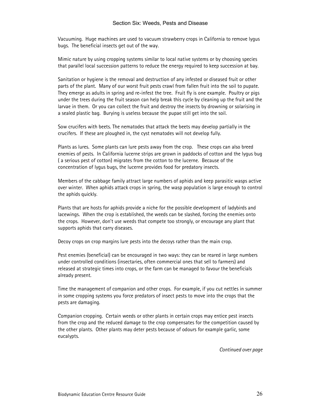Vacuuming. Huge machines are used to vacuum strawberry crops in California to remove lygus bugs. The beneficial insects get out of the way.

Mimic nature by using cropping systems similar to local native systems or by choosing species that parallel local succession patterns to reduce the energy required to keep succession at bay.

Sanitation or hygiene is the removal and destruction of any infested or diseased fruit or other parts of the plant. Many of our worst fruit pests crawl from fallen fruit into the soil to pupate. They emerge as adults in spring and re-infest the tree. Fruit fly is one example. Poultry or pigs under the trees during the fruit season can help break this cycle by cleaning up the fruit and the larvae in them. Or you can collect the fruit and destroy the insects by drowning or solarising in a sealed plastic bag. Burying is useless because the pupae still get into the soil.

Sow crucifers with beets. The nematodes that attack the beets may develop partially in the crucifers. If these are ploughed in, the cyst nematodes will not develop fully.

Plants as lures. Some plants can lure pests away from the crop. These crops can also breed enemies of pests. In California lucerne strips are grown in paddocks of cotton and the lygus bug ( a serious pest of cotton) migrates from the cotton to the lucerne. Because of the concentration of lygus bugs, the lucerne provides food for predatory insects.

Members of the cabbage family attract large numbers of aphids and keep parasitic wasps active over winter. When aphids attack crops in spring, the wasp population is large enough to control the aphids quickly.

Plants that are hosts for aphids provide a niche for the possible development of ladybirds and lacewings. When the crop is established, the weeds can be slashed, forcing the enemies onto the crops. However, don't use weeds that compete too strongly, or encourage any plant that supports aphids that carry diseases.

Decoy crops on crop margins lure pests into the decoys rather than the main crop.

Pest enemies (beneficial) can be encouraged in two ways: they can be reared in large numbers under controlled conditions (insectaries, often commercial ones that sell to farmers) and released at strategic times into crops, or the farm can be managed to favour the beneficials already present.

Time the management of companion and other crops. For example, if you cut nettles in summer in some cropping systems you force predators of insect pests to move into the crops that the pests are damaging.

Companion cropping. Certain weeds or other plants in certain crops may entice pest insects from the crop and the reduced damage to the crop compensates for the competition caused by the other plants. Other plants may deter pests because of odours for example garlic, some eucalypts.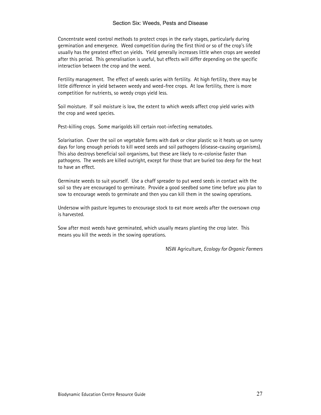Concentrate weed control methods to protect crops in the early stages, particularly during germination and emergence. Weed competition during the first third or so of the crop's life usually has the greatest effect on yields. Yield generally increases little when crops are weeded after this period. This generalisation is useful, but effects will differ depending on the specific interaction between the crop and the weed.

Fertility management. The effect of weeds varies with fertility. At high fertility, there may be little difference in yield between weedy and weed-free crops. At low fertility, there is more competition for nutrients, so weedy crops yield less.

Soil moisture. If soil moisture is low, the extent to which weeds affect crop yield varies with the crop and weed species.

Pest-killing crops. Some marigolds kill certain root-infecting nematodes.

Solarisation. Cover the soil on vegetable farms with dark or clear plastic so it heats up on sunny days for long enough periods to kill weed seeds and soil pathogens (disease-causing organisms). This also destroys beneficial soil organisms, but these are likely to re-colonise faster than pathogens. The weeds are killed outright, except for those that are buried too deep for the heat to have an effect.

Germinate weeds to suit yourself. Use a chaff spreader to put weed seeds in contact with the soil so they are encouraged to germinate. Provide a good seedbed some time before you plan to sow to encourage weeds to germinate and then you can kill them in the sowing operations.

Undersow with pasture legumes to encourage stock to eat more weeds after the oversown crop is harvested.

Sow after most weeds have germinated, which usually means planting the crop later. This means you kill the weeds in the sowing operations.

NSW Agriculture, Ecology for Organic Farmers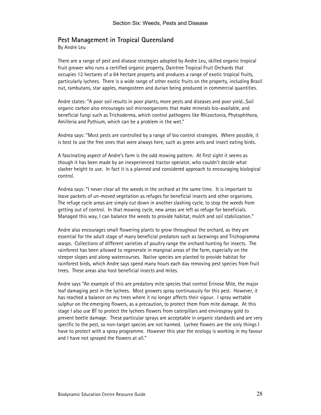# Pest Management in Tropical Queensland

By Andre Leu

There are a range of pest and disease strategies adopted by Andre Leu, skilled organic tropical fruit grower who runs a certified organic property, Daintree Tropical Fruit Orchards that occupies 12 hectares of a 64 hectare property and produces a range of exotic tropical fruits, particularly lychees. There is a wide range of other exotic fruits on the property, including Brazil nut, rambutans, star apples, mangosteen and durian being produced in commercial quantities.

Andre states: "A poor soil results in poor plants, more pests and diseases and poor yield...Soil organic carbon also encourages soil microorganisms that make minerals bio-available, and beneficial fungi such as Trichoderma, which control pathogens like Rhizoctonia, Phytophthora, Amilleria and Pythium, which can be a problem in the wet."

Andrea says: "Most pests are controlled by a range of bio control strategies. Where possible, it is best to use the free ones that were always here, such as green ants and insect eating birds.

A fascinating aspect of Andre's farm is the odd mowing pattern. At first sight it seems as though it has been made by an inexperienced tractor operator, who couldn't decide what slasher height to use. In fact it is a planned and considered approach to encouraging biological control.

Andrea says: "I never clear all the weeds in the orchard at the same time. It is important to leave packets of un-moved vegetation as refuges for beneficial insects and other organisms. The refuge cycle areas are simply cut down in another slashing cycle, to stop the weeds from getting out of control. In that mowing cycle, new areas are left as refuge for beneficials. Managed this way, I can balance the weeds to provide habitat, mulch and soil stabilization."

Andre also encourages small flowering plants to grow throughout the orchard, as they are essential for the adult stage of many beneficial predators such as lacewings and Trichogramma wasps. Collections of different varieties of poultry range the orchard hunting for insects. The rainforest has been allowed to regenerate in marginal areas of the farm, especially on the steeper slopes and along watercourses. Native species are planted to provide habitat for rainforest birds, which Andre says spend many hours each day removing pest species from fruit trees. These areas also host beneficial insects and mites.

Andre says "An example of this are predatory mite species that control Erinose Mite, the major leaf damaging pest in the lychees. Most growers spray continuously for this pest. However, it has reached a balance on my trees where it no longer affects their vigour. I spray wettable sulphur on the emerging flowers, as a precaution, to protect them from mite damage. At this stage I also use BT to protect the lychees flowers from caterpillars and envirospray gold to prevent beetle damage. These particular sprays are acceptable in organic standards and are very specific to the pest, so non-target species are not harmed. Lychee flowers are the only things I have to protect with a spray programme. However this year the ecology is working in my favour and I have not sprayed the flowers at all."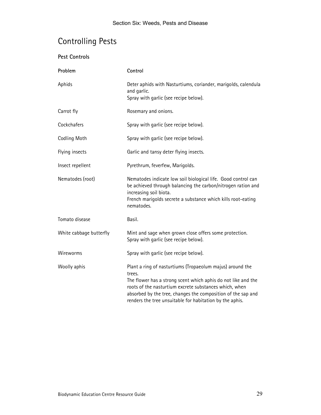# Controlling Pests

| <b>Pest Controls</b> |                                                                                                                        |
|----------------------|------------------------------------------------------------------------------------------------------------------------|
| Problem              | Control                                                                                                                |
| Aphids               | Deter aphids with Nasturtiums, coriander, marigolds, calendula<br>and garlic.<br>Spray with garlic (see recipe below). |
| Carrot fly           | Rosemary and onions.                                                                                                   |
| Cockchafers          | Spray with garlic (see recipe below).                                                                                  |

| כשוווערו                | DCtCl aprilius With Nasturtiums, ConanuCr, mangolus, Calchuula<br>and garlic.<br>Spray with garlic (see recipe below).                                                                                                                                                                                                     |  |
|-------------------------|----------------------------------------------------------------------------------------------------------------------------------------------------------------------------------------------------------------------------------------------------------------------------------------------------------------------------|--|
| Carrot fly              | Rosemary and onions.                                                                                                                                                                                                                                                                                                       |  |
| Cockchafers             | Spray with garlic (see recipe below).                                                                                                                                                                                                                                                                                      |  |
| Codling Moth            | Spray with garlic (see recipe below).                                                                                                                                                                                                                                                                                      |  |
| Flying insects          | Garlic and tansy deter flying insects.                                                                                                                                                                                                                                                                                     |  |
| Insect repellent        | Pyrethrum, feverfew, Marigolds.                                                                                                                                                                                                                                                                                            |  |
| Nematodes (root)        | Nematodes indicate low soil biological life. Good control can<br>be achieved through balancing the carbon/nitrogen ration and<br>increasing soil biota.<br>French marigolds secrete a substance which kills root-eating<br>nematodes.                                                                                      |  |
| Tomato disease          | Basil.                                                                                                                                                                                                                                                                                                                     |  |
| White cabbage butterfly | Mint and sage when grown close offers some protection.<br>Spray with garlic (see recipe below).                                                                                                                                                                                                                            |  |
| Wireworms               | Spray with garlic (see recipe below).                                                                                                                                                                                                                                                                                      |  |
| Woolly aphis            | Plant a ring of nasturtiums (Tropaeolum majus) around the<br>trees.<br>The flower has a strong scent which aphis do not like and the<br>roots of the nasturtium excrete substances which, when<br>absorbed by the tree, changes the composition of the sap and<br>renders the tree unsuitable for habitation by the aphis. |  |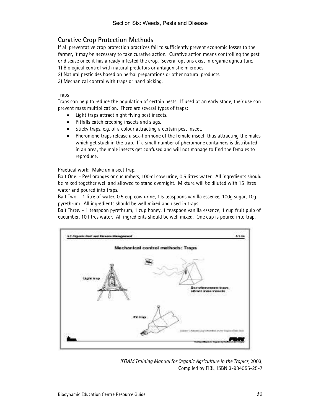# Curative Crop Protection Methods

If all preventative crop protection practices fail to sufficiently prevent economic losses to the farmer, it may be necessary to take curative action. Curative action means controlling the pest or disease once it has already infested the crop. Several options exist in organic agriculture.

1) Biological control with natural predators or antagonistic microbes.

2) Natural pesticides based on herbal preparations or other natural products.

3) Mechanical control with traps or hand picking.

#### **Traps**

Traps can help to reduce the population of certain pests. If used at an early stage, their use can prevent mass multiplication. There are several types of traps:

- Light traps attract night flying pest insects.
- Pitfalls catch creeping insects and slugs.
- Sticky traps. e.g. of a colour attracting a certain pest insect.
- Pheromone traps release a sex-hormone of the female insect, thus attracting the males which get stuck in the trap. If a small number of pheromone containers is distributed in an area, the male insects get confused and will not manage to find the females to reproduce.

Practical work: Make an insect trap.

Bait One. - Peel oranges or cucumbers, 100ml cow urine, 0.5 litres water. All ingredients should be mixed together well and allowed to stand overnight. Mixture will be diluted with 15 litres water and poured into traps.

Bait Two. - 1 litre of water, 0.5 cup cow urine, 1.5 teaspoons vanilla essence, 100g sugar, 10g pyrethrum. All ingredients should be well mixed and used in traps.

Bait Three. - 1 teaspoon pyrethrum, 1 cup honey, 1 teaspoon vanilla essence, 1 cup fruit pulp of cucumber, 10 litres water. All ingredients should be well mixed. One cup is poured into trap.



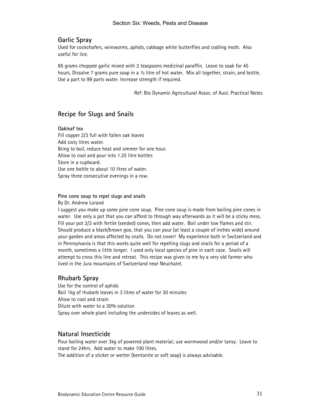# Garlic Spray

Used for cockchafers, wireworms, aphids, cabbage white butterflies and codling moth. Also useful for lice.

85 grams chopped garlic mixed with 2 teaspoons medicinal paraffin. Leave to soak for 45 hours. Dissolve 7 grams pure soap in a  $\frac{1}{2}$  litre of hot water. Mix all together, strain, and bottle. Use a part to 99 parts water. Increase strength if required.

Ref: Bio Dynamic Agricultural Assoc. of Aust. Practical Notes

# Recipe for Slugs and Snails

#### Oakleaf tea

Fill copper 2/3 full with fallen oak leaves Add sixty litres water. Bring to boil, reduce heat and simmer for one hour. Allow to cool and pour into 1.25 litre bottles Store in a cupboard. Use one bottle to about 10 litres of water. Spray three consecutive evenings in a row.

## Pine cone soup to repel slugs and snails

By Dr. Andrew Lorand

I suggest you make up some pine cone soup. Pine cone soup is made from boiling pine cones in water. Use only a pot that you can afford to through way afterwards as it will be a sticky mess. Fill your pot 2/3 with fertile (seeded) cones, then add water. Boil under low flames and stir. Should produce a black/brown goo, that you can pour (at least a couple of inches wide) around your garden and areas affected by snails. Do not cover! My experience both in Switzerland and in Pennsylvania is that this works quite well for repelling slugs and snails for a period of a month, sometimes a little longer. I used only local species of pine in each case. Snails will attempt to cross this line and retreat. This recipe was given to me by a very old farmer who lived in the Jura mountains of Switzerland near Neuchatel.

# Rhubarb Spray

Use for the control of aphids Boil 1kg of rhubarb leaves in 3 litres of water for 30 minutes Allow to cool and strain Dilute with water to a 30% solution Spray over whole plant including the undersides of leaves as well.

# Natural Insecticide

Pour boiling water over 3kg of powered plant material; use wormwood and/or tansy. Leave to stand for 24hrs. Add water to make 100 litres.

The addition of a sticker or wetter (bentonite or soft soap) is always advisable.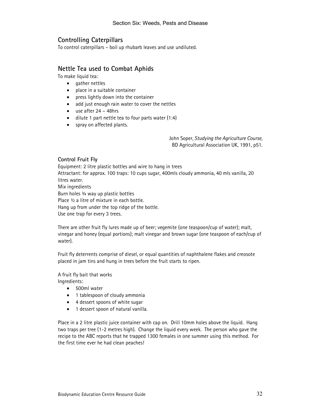# Controlling Caterpillars

To control caterpillars – boil up rhubarb leaves and use undiluted.

# Nettle Tea used to Combat Aphids

To make liquid tea:

- gather nettles
- place in a suitable container
- press lightly down into the container
- add just enough rain water to cover the nettles
- use after 24 48hrs
- dilute 1 part nettle tea to four parts water (1:4)
- spray on affected plants.

John Soper, Studying the Agriculture Course, BD Agricultural Association UK, 1991, p51.

## Control Fruit Fly

Equipment: 2 litre plastic bottles and wire to hang in trees Attractant: for approx. 100 traps: 10 cups sugar, 400mls cloudy ammonia, 40 mls vanilla, 20 litres water. Mix ingredients Burn holes ¾ way up plastic bottles Place  $\frac{1}{2}$  a litre of mixture in each bottle. Hang up from under the top ridge of the bottle. Use one trap for every 3 trees.

There are other fruit fly lures made up of beer; vegemite (one teaspoon/cup of water); malt, vinegar and honey (equal portions); malt vinegar and brown sugar (one teaspoon of each/cup of water).

Fruit fly deterrents comprise of diesel, or equal quantities of naphthalene flakes and creosote placed in jam tins and hung in trees before the fruit starts to ripen.

A fruit fly bait that works

Ingredients:

- 500ml water
- 1 tablespoon of cloudy ammonia
- 4 dessert spoons of white sugar
- 1 dessert spoon of natural vanilla.

Place in a 2 litre plastic juice container with cap on. Drill 10mm holes above the liquid. Hang two traps per tree (1-2 metres high). Change the liquid every week. The person who gave the recipe to the ABC reports that he trapped 1300 females in one summer using this method. For the first time ever he had clean peaches!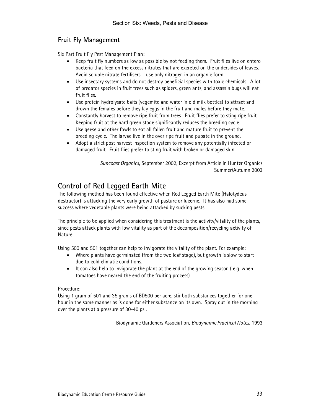# Fruit Fly Management

Six Part Fruit Fly Pest Management Plan:

- Keep fruit fly numbers as low as possible by not feeding them. Fruit flies live on entero bacteria that feed on the excess nitrates that are excreted on the undersides of leaves. Avoid soluble nitrate fertilisers – use only nitrogen in an organic form.
- Use insectary systems and do not destroy beneficial species with toxic chemicals. A lot of predator species in fruit trees such as spiders, green ants, and assassin bugs will eat fruit flies.
- Use protein hydrolysate baits (vegemite and water in old milk bottles) to attract and drown the females before they lay eggs in the fruit and males before they mate.
- Constantly harvest to remove ripe fruit from trees. Fruit flies prefer to sting ripe fruit. Keeping fruit at the hard green stage significantly reduces the breeding cycle.
- Use geese and other fowls to eat all fallen fruit and mature fruit to prevent the breeding cycle. The larvae live in the over ripe fruit and pupate in the ground.
- Adopt a strict post harvest inspection system to remove any potentially infected or damaged fruit. Fruit flies prefer to sting fruit with broken or damaged skin.

Suncoast Organics, September 2002, Excerpt from Article in Hunter Organics Summer/Autumn 2003

# Control of Red Legged Earth Mite

The following method has been found effective when Red Legged Earth Mite (Halotydeus destructor) is attacking the very early growth of pasture or lucerne. It has also had some success where vegetable plants were being attacked by sucking pests.

The principle to be applied when considering this treatment is the activity/vitality of the plants, since pests attack plants with low vitality as part of the decomposition/recycling activity of Nature.

Using 500 and 501 together can help to invigorate the vitality of the plant. For example:

- Where plants have germinated (from the two leaf stage), but growth is slow to start due to cold climatic conditions.
- It can also help to invigorate the plant at the end of the growing season ( e.g. when tomatoes have neared the end of the fruiting process).

# Procedure:

Using 1 gram of 501 and 35 grams of BD500 per acre, stir both substances together for one hour in the same manner as is done for either substance on its own. Spray out in the morning over the plants at a pressure of 30-40 psi.

Biodynamic Gardeners Association, Biodynamic Practical Notes, 1993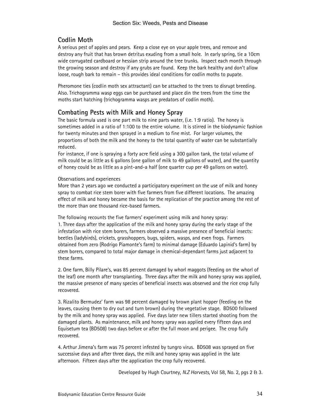# Codlin Moth

A serious pest of apples and pears. Keep a close eye on your apple trees, and remove and destroy any fruit that has brown detritus exuding from a small hole. In early spring, tie a 10cm wide corrugated cardboard or hessian strip around the tree trunks. Inspect each month through the growing season and destroy if any grubs are found. Keep the bark healthy and don't allow loose, rough bark to remain – this provides ideal conditions for codlin moths to pupate.

Pheromone ties (codlin moth sex attractant) can be attached to the trees to disrupt breeding. Also. Trichogramma wasp eggs can be purchased and place din the trees from the time the moths start hatching (trichogramma wasps are predators of codlin moth).

# Combating Pests with Milk and Honey Spray

The basic formula used is one part milk to nine parts water, (i.e. 1:9 ratio). The honey is sometimes added in a ratio of 1:100 to the entire volume. It is stirred in the biodynamic fashion for twenty minutes and then sprayed in a medium to fine mist. For larger volumes, the proportions of both the milk and the honey to the total quantity of water can be substantially reduced.

For instance, if one is spraying a forty acre field using a 300 gallon tank, the total volume of milk could be as little as 6 gallons (one gallon of milk to 49 gallons of water), and the quantity of honey could be as little as a pint-and-a half (one quarter cup per 49 gallons on water).

#### Observations and experiences

More than 2 years ago we conducted a participatory experiment on the use of milk and honey spray to combat rice stem borer with five farmers from five different locations. The amazing effect of milk and honey became the basis for the replication of the practice among the rest of the more than one thousand rice-based farmers.

The following recounts the five farmers' experiment using milk and honey spray: 1. Three days after the application of the milk and honey spray during the early stage of the infestation with rice stem borers, farmers observed a massive presence of beneficial insects: beetles (ladybirds), crickets, grasshoppers, bugs, spiders, wasps, and even frogs. Farmers obtained from zero (Rodrigo Piamonte's farm) to minimal damage (Eduardo Lapinid's farm) by stem borers, compared to total major damage in chemical-dependant farms just adjacent to these farms.

2. One farm, Billy Pilare's, was 85 percent damaged by whorl maggots (feeding on the whorl of the leaf) one month after transplanting. Three days after the milk and honey spray was applied, the massive presence of many species of beneficial insects was observed and the rice crop fully recovered.

3. Rizalito Bermudez' farm was 98 percent damaged by brown plant hopper (feeding on the leaves, causing them to dry out and turn brown) during the vegetative stage. BD500 followed by the milk and honey spray was applied. Five days later new tillers started shooting from the damaged plants. As maintenance, milk and honey spray was applied every fifteen days and Equisetum tea (BD508) two days before or after the full moon and perigee. The crop fully recovered.

4. Arthur Jimena's farm was 75 percent infested by tungro virus. BD508 was sprayed on five successive days and after three days, the milk and honey spray was applied in the late afternoon. Fifteen days after the application the crop fully recovered.

Developed by Hugh Courtney, N.Z Harvests, Vol 58, No. 2, pgs 2 & 3.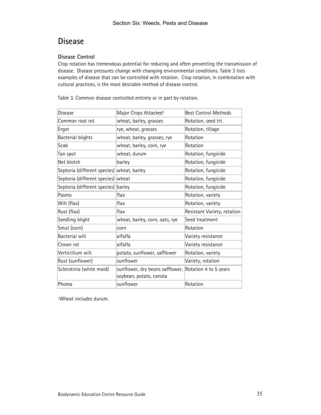# Disease

# Disease Control

Crop rotation has tremendous potential for reducing and often preventing the transmission of disease. Disease pressures change with changing environmental conditions. Table 3 lists examples of disease that can be controlled with rotation. Crop rotation, in combination with cultural practices, is the most desirable method of disease control.

| <b>Disease</b>                             | Major Crops Attacked <sup>1</sup>                                                | <b>Best Control Methods</b> |
|--------------------------------------------|----------------------------------------------------------------------------------|-----------------------------|
| Common root rot                            | wheat, barley, grasses                                                           | Rotation, seed trt.         |
| Ergot                                      | rye, wheat, grasses                                                              | Rotation, tillage           |
| <b>Bacterial blights</b>                   | wheat, barley, grasses, rye                                                      | Rotation                    |
| Scab                                       | wheat, barley, corn, rye                                                         | Rotation                    |
| Tan spot                                   | wheat, durum                                                                     | Rotation, fungicide         |
| Net blotch                                 | barley                                                                           | Rotation, fungicide         |
| Septoria (different species) wheat, barley |                                                                                  | Rotation, fungicide         |
| Septoria (different species)               | wheat                                                                            | Rotation, fungicide         |
| Septoria (different species)               | barley                                                                           | Rotation, fungicide         |
| Pasmo                                      | flax                                                                             | Rotation, variety           |
| Wilt (flax)                                | flax                                                                             | Rotation, variety           |
| Rust (flax)                                | flax                                                                             | Resistant Variety, rotation |
| Seedling blight                            | wheat, barley, corn, oats, rye                                                   | Seed treatment              |
| Smut (corn)                                | corn                                                                             | Rotation                    |
| Bacterial wilt                             | alfalfa                                                                          | Variety resistance          |
| Crown rot                                  | alfalfa                                                                          | Variety resistance          |
| Verticillium wilt                          | potato, sunflower, safflower                                                     | Rotation, variety           |
| Rust (sunflower)                           | sunflower                                                                        | Variety, rotation           |
| Sclerotinia (white mold)                   | sunflower, dry beans safflower, Rotation 4 to 5 years<br>soybean, potato, canola |                             |
| Phoma                                      | sunflower                                                                        | Rotation                    |

Table 3. Common disease controlled entirely or in part by rotation.

1Wheat includes durum.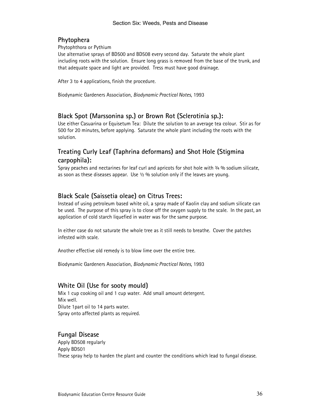# Phytophera

Phytophthora or Pythium

Use alternative sprays of BD500 and BD508 every second day. Saturate the whole plant including roots with the solution. Ensure long grass is removed from the base of the trunk, and that adequate space and light are provided. Tress must have good drainage.

After 3 to 4 applications, finish the procedure.

Biodynamic Gardeners Association, Biodynamic Practical Notes, 1993

# Black Spot (Marssonina sp.) or Brown Rot (Sclerotinia sp.):

Use either Casuarina or Equisetum Tea: Dilute the solution to an average tea colour. Stir as for 500 for 20 minutes, before applying. Saturate the whole plant including the roots with the solution.

# Treating Curly Leaf (Taphrina deformans) and Shot Hole (Stigmina carpophila):

Spray peaches and nectarines for leaf curl and apricots for shot hole with  $\frac{3}{4}$  % sodium silicate, as soon as these diseases appear. Use  $\frac{1}{2}$  % solution only if the leaves are young.

# Black Scale (Saissetia oleae) on Citrus Trees:

Instead of using petroleum based white oil, a spray made of Kaolin clay and sodium silicate can be used. The purpose of this spray is to close off the oxygen supply to the scale. In the past, an application of cold starch liquefied in water was for the same purpose.

In either case do not saturate the whole tree as it still needs to breathe. Cover the patches infested with scale.

Another effective old remedy is to blow lime over the entire tree.

Biodynamic Gardeners Association, Biodynamic Practical Notes, 1993

# White Oil (Use for sooty mould)

Mix 1 cup cooking oil and 1 cup water. Add small amount detergent. Mix well. Dilute 1part oil to 14 parts water. Spray onto affected plants as required.

# Fungal Disease

Apply BD508 regularly Apply BD501 These spray help to harden the plant and counter the conditions which lead to fungal disease.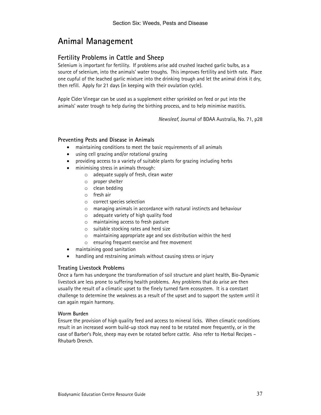# Animal Management

# Fertility Problems in Cattle and Sheep

Selenium is important for fertility. If problems arise add crushed leached garlic bulbs, as a source of selenium, into the animals' water troughs. This improves fertility and birth rate. Place one cupful of the leached garlic mixture into the drinking trough and let the animal drink it dry, then refill. Apply for 21 days (in keeping with their ovulation cycle).

Apple Cider Vinegar can be used as a supplement either sprinkled on feed or put into the animals' water trough to help during the birthing process, and to help minimise mastitis.

Newsleaf, Journal of BDAA Australia, No. 71, p28

## Preventing Pests and Disease in Animals

- maintaining conditions to meet the basic requirements of all animals
- using cell grazing and/or rotational grazing
- providing access to a variety of suitable plants for grazing including herbs
- minimising stress in animals through:
	- o adequate supply of fresh, clean water
	- o proper shelter
	- o clean bedding
	- o fresh air
	- o correct species selection
	- o managing animals in accordance with natural instincts and behaviour
	- o adequate variety of high quality food
	- o maintaining access to fresh pasture
	- o suitable stocking rates and herd size
	- $\circ$  maintaining appropriate age and sex distribution within the herd
	- o ensuring frequent exercise and free movement
- maintaining good sanitation
- handling and restraining animals without causing stress or injury

#### Treating Livestock Problems

Once a farm has undergone the transformation of soil structure and plant health, Bio-Dynamic livestock are less prone to suffering health problems. Any problems that do arise are then usually the result of a climatic upset to the finely turned farm ecosystem. It is a constant challenge to determine the weakness as a result of the upset and to support the system until it can again regain harmony.

#### Worm Burden

Ensure the provision of high quality feed and access to mineral licks. When climatic conditions result in an increased worm build-up stock may need to be rotated more frequently, or in the case of Barber's Pole, sheep may even be rotated before cattle. Also refer to Herbal Recipes – Rhubarb Drench.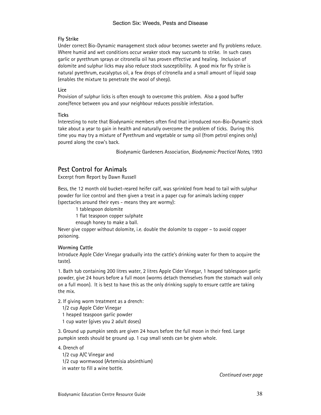#### Fly Strike

Under correct Bio-Dynamic management stock odour becomes sweeter and fly problems reduce. Where humid and wet conditions occur weaker stock may succumb to strike. In such cases garlic or pyrethrum sprays or citronella oil has proven effective and healing. Inclusion of dolomite and sulphur licks may also reduce stock susceptibility. A good mix for fly strike is natural pyrethrum, eucalyptus oil, a few drops of citronella and a small amount of liquid soap (enables the mixture to penetrate the wool of sheep).

#### Lice

Provision of sulphur licks is often enough to overcome this problem. Also a good buffer zone/fence between you and your neighbour reduces possible infestation.

#### **Ticks**

Interesting to note that Biodynamic members often find that introduced non-Bio-Dynamic stock take about a year to gain in health and naturally overcome the problem of ticks. During this time you may try a mixture of Pyrethrum and vegetable or sump oil (from petrol engines only) poured along the cow's back.

Biodynamic Gardeners Association, Biodynamic Practical Notes, 1993

# Pest Control for Animals

Excerpt from Report by Dawn Russell

Bess, the 12 month old bucket-reared heifer calf, was sprinkled from head to tail with sulphur powder for lice control and then given a treat in a paper cup for animals lacking copper (spectacles around their eyes - means they are wormy):

1 tablespoon dolomite

1 flat teaspoon copper sulphate

enough honey to make a ball.

Never give copper without dolomite, i.e. double the dolomite to copper – to avoid copper poisoning.

#### Worming Cattle

Introduce Apple Cider Vinegar gradually into the cattle's drinking water for them to acquire the taste).

1. Bath tub containing 200 litres water, 2 litres Apple Cider Vinegar, 1 heaped tablespoon garlic powder, give 24 hours before a full moon (worms detach themselves from the stomach wall only on a full moon). It is best to have this as the only drinking supply to ensure cattle are taking the mix.

2. If giving worm treatment as a drench:

1/2 cup Apple Cider Vinegar

1 heaped teaspoon garlic powder

1 cup water (gives you 2 adult doses)

3. Ground up pumpkin seeds are given 24 hours before the full moon in their feed. Large pumpkin seeds should be ground up. 1 cup small seeds can be given whole.

#### 4. Drench of

 1/2 cup A/C Vinegar and 1/2 cup wormwood (Artemisia absinthium) in water to fill a wine bottle.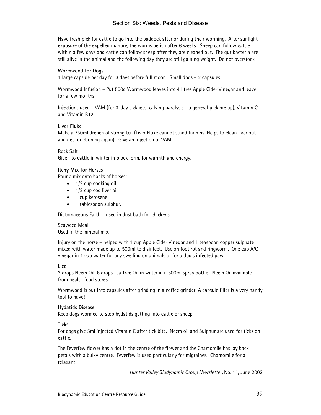Have fresh pick for cattle to go into the paddock after or during their worming. After sunlight exposure of the expelled manure, the worms perish after 6 weeks. Sheep can follow cattle within a few days and cattle can follow sheep after they are cleaned out. The gut bacteria are still alive in the animal and the following day they are still gaining weight. Do not overstock.

#### Wormwood for Dogs

1 large capsule per day for 3 days before full moon. Small dogs – 2 capsules.

Wormwood Infusion – Put 500g Wormwood leaves into 4 litres Apple Cider Vinegar and leave for a few months.

Injections used – VAM (for 3-day sickness, calving paralysis - a general pick me up), Vitamin C and Vitamin B12

#### Liver Fluke

Make a 750ml drench of strong tea (Liver Fluke cannot stand tannins. Helps to clean liver out and get functioning again). Give an injection of VAM.

#### Rock Salt

Given to cattle in winter in block form, for warmth and energy.

#### Itchy Mix for Horses

Pour a mix onto backs of horses:

- 1/2 cup cooking oil
- 1/2 cup cod liver oil
- 1 cup kerosene
- 1 tablespoon sulphur.

Diatomaceous Earth – used in dust bath for chickens.

Seaweed Meal Used in the mineral mix.

Injury on the horse – helped with 1 cup Apple Cider Vinegar and 1 teaspoon copper sulphate mixed with water made up to 500ml to disinfect. Use on foot rot and ringworm. One cup A/C vinegar in 1 cup water for any swelling on animals or for a dog's infected paw.

#### Lice

3 drops Neem Oil, 6 drops Tea Tree Oil in water in a 500ml spray bottle. Neem Oil available from health food stores.

Wormwood is put into capsules after grinding in a coffee grinder. A capsule filler is a very handy tool to have!

#### Hydatids Disease

Keep dogs wormed to stop hydatids getting into cattle or sheep.

**Ticks** 

For dogs give 5ml injected Vitamin C after tick bite. Neem oil and Sulphur are used for ticks on cattle.

The Feverfew flower has a dot in the centre of the flower and the Chamomile has lay back petals with a bulky centre. Feverfew is used particularly for migraines. Chamomile for a relaxant.

Hunter Valley Biodynamic Group Newsletter, No. 11, June 2002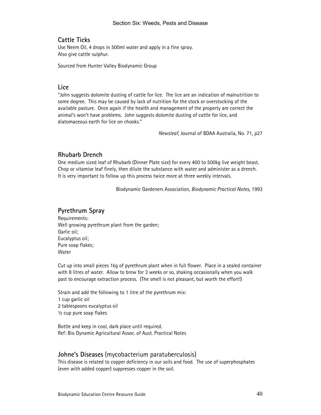# Cattle Ticks

Use Neem Oil, 4 drops in 500ml water and apply in a fine spray. Also give cattle sulphur.

Sourced from Hunter Valley Biodynamic Group

## Lice

"John suggests dolomite dusting of cattle for lice. The lice are an indication of malnutrition to some degree. This may be caused by lack of nutrition for the stock or overstocking of the available pasture. Once again if the health and management of the property are correct the animal's won't have problems. John suggests dolomite dusting of cattle for lice, and diatomaceous earth for lice on chooks."

Newsleaf, Journal of BDAA Australia, No. 71, p27

# Rhubarb Drench

One medium sized leaf of Rhubarb (Dinner Plate size) for every 400 to 500kg live weight beast. Chop or vitamise leaf finely, then dilute the substance with water and administer as a drench. It is very important to follow up this process twice more at three weekly intervals.

Biodynamic Gardeners Association, Biodynamic Practical Notes, 1993

# Pyrethrum Spray

Requirements: Well growing pyrethrum plant from the garden; Garlic oil; Eucalyptus oil; Pure soap flakes; Water

Cut up into small pieces 1kg of pyrethrum plant when in full flower. Place in a sealed container with 8 litres of water. Allow to brew for 3 weeks or so, shaking occasionally when you walk past to encourage extraction process. (The smell is not pleasant, but worth the effort!)

Strain and add the following to 1 litre of the pyrethrum mix: 1 cup garlic oil 2 tablespoons eucalyptus oil ½ cup pure soap flakes

Bottle and keep in cool, dark place until required. Ref: Bio Dynamic Agricultural Assoc. of Aust. Practical Notes

#### Johne's Diseases (mycobacterium paratuberculosis)

This disease is related to copper deficiency in our soils and food. The use of superphosphates (even with added copper) suppresses copper in the soil.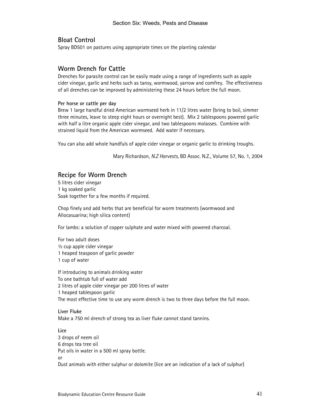# Bloat Control

Spray BD501 on pastures using appropriate times on the planting calendar

## Worm Drench for Cattle

Drenches for parasite control can be easily made using a range of ingredients such as apple cider vinegar, garlic and herbs such as tansy, wormwood, yarrow and comfrey. The effectiveness of all drenches can be improved by administering these 24 hours before the full moon.

#### Per horse or cattle per day

Brew 1 large handful dried American wormseed herb in 11/2 litres water (bring to boil, simmer three minutes, leave to steep eight hours or overnight best). Mix 2 tablespoons powered garlic with half a litre organic apple cider vinegar, and two tablespoons molasses. Combine with strained liquid from the American wormseed. Add water if necessary.

You can also add whole handfuls of apple cider vinegar or organic garlic to drinking troughs.

Mary Richardson, N.Z Harvests, BD Assoc. N.Z., Volume 57, No. 1, 2004

# Recipe for Worm Drench

5 litres cider vinegar 1 kg soaked garlic Soak together for a few months if required.

Chop finely and add herbs that are beneficial for worm treatments (wormwood and Allocasuarina; high silica content)

For lambs: a solution of copper sulphate and water mixed with powered charcoal.

For two adult doses ½ cup apple cider vinegar 1 heaped teaspoon of garlic powder 1 cup of water

If introducing to animals drinking water To one bathtub full of water add 2 litres of apple cider vinegar per 200 litres of water 1 heaped tablespoon garlic The most effective time to use any worm drench is two to three days before the full moon.

Liver Fluke Make a 750 ml drench of strong tea as liver fluke cannot stand tannins.

Lice 3 drops of neem oil 6 drops tea tree oil Put oils in water in a 500 ml spray bottle. or Dust animals with either sulphur or dolomite (lice are an indication of a lack of sulphur)